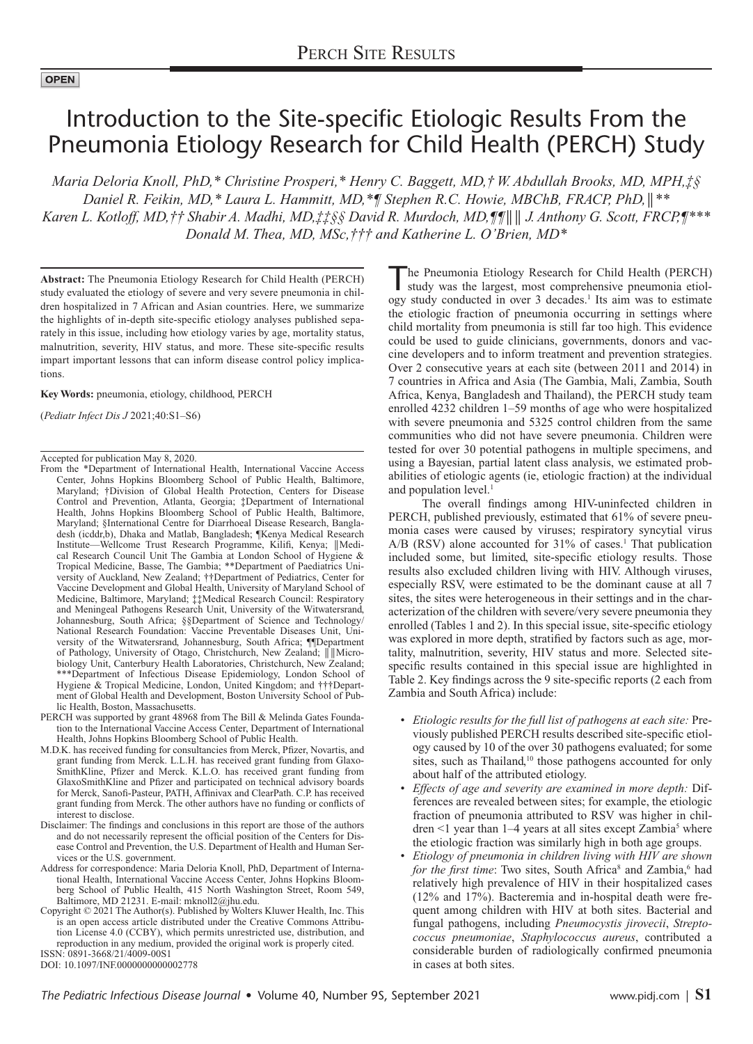## **OPEN**

# Introduction to the Site-specific Etiologic Results From the Pneumonia Etiology Research for Child Health (PERCH) Study

*Maria Deloria Knoll, PhD,\* Christine Prosperi,\* Henry C. Baggett, MD,† W. Abdullah Brooks, MD, MPH,‡§ Daniel R. Feikin, MD,\* Laura L. Hammitt, MD,\*¶ Stephen R.C. Howie, MBChB, FRACP, PhD,*║*\*\* Karen L. Kotloff, MD,†† Shabir A. Madhi, MD,‡‡§§ David R. Murdoch, MD,¶¶*║║ *J. Anthony G. Scott, FRCP,¶\*\*\* Donald M. Thea, MD, MSc,††† and Katherine L. O'Brien, MD\**

**Abstract:** The Pneumonia Etiology Research for Child Health (PERCH) study evaluated the etiology of severe and very severe pneumonia in children hospitalized in 7 African and Asian countries. Here, we summarize the highlights of in-depth site-specific etiology analyses published separately in this issue, including how etiology varies by age, mortality status, malnutrition, severity, HIV status, and more. These site-specific results impart important lessons that can inform disease control policy implications.

**Key Words:** pneumonia, etiology, childhood, PERCH

(*Pediatr Infect Dis J* 2021;40:S1–S6)

Accepted for publication May 8, 2020.

- From the \*Department of International Health, International Vaccine Access Center, Johns Hopkins Bloomberg School of Public Health, Baltimore, Maryland; †Division of Global Health Protection, Centers for Disease Control and Prevention, Atlanta, Georgia; ‡Department of International Health, Johns Hopkins Bloomberg School of Public Health, Baltimore, Maryland; §International Centre for Diarrhoeal Disease Research, Bangladesh (icddr,b), Dhaka and Matlab, Bangladesh; ¶Kenya Medical Research Institute—Wellcome Trust Research Programme, Kilifi, Kenya; ║Medical Research Council Unit The Gambia at London School of Hygiene & Tropical Medicine, Basse, The Gambia; \*\*Department of Paediatrics University of Auckland, New Zealand; ††Department of Pediatrics, Center for Vaccine Development and Global Health, University of Maryland School of Medicine, Baltimore, Maryland; ‡‡Medical Research Council: Respiratory and Meningeal Pathogens Research Unit, University of the Witwatersrand, Johannesburg, South Africa; §§Department of Science and Technology/ National Research Foundation: Vaccine Preventable Diseases Unit, University of the Witwatersrand, Johannesburg, South Africa; ¶¶Department of Pathology, University of Otago, Christchurch, New Zealand;  $\| \|$ Microbiology Unit, Canterbury Health Laboratories, Christchurch, New Zealand; \*\*\*Department of Infectious Disease Epidemiology, London School of Hygiene & Tropical Medicine, London, United Kingdom; and †††Department of Global Health and Development, Boston University School of Public Health, Boston, Massachusetts.
- PERCH was supported by grant 48968 from The Bill & Melinda Gates Foundation to the International Vaccine Access Center, Department of International Health, Johns Hopkins Bloomberg School of Public Health.
- M.D.K. has received funding for consultancies from Merck, Pfizer, Novartis, and grant funding from Merck. L.L.H. has received grant funding from Glaxo-SmithKline, Pfizer and Merck. K.L.O. has received grant funding from GlaxoSmithKline and Pfizer and participated on technical advisory boards for Merck, Sanofi-Pasteur, PATH, Affinivax and ClearPath. C.P. has received grant funding from Merck. The other authors have no funding or conflicts of interest to disclose.
- Disclaimer: The findings and conclusions in this report are those of the authors and do not necessarily represent the official position of the Centers for Disease Control and Prevention, the U.S. Department of Health and Human Services or the U.S. government.
- Address for correspondence: Maria Deloria Knoll, PhD, Department of International Health, International Vaccine Access Center, Johns Hopkins Bloomberg School of Public Health, 415 North Washington Street, Room 549, Baltimore, MD 21231. E-mail: [mknoll2@jhu.edu.](mailto:mknoll2@jhu.edu)
- Copyright © 2021 The Author(s). Published by Wolters Kluwer Health, Inc. This is an open access article distributed under the [Creative Commons Attribu](http://creativecommons.org/licenses/by/4.0/)[tion License 4.0 \(CCBY\),](http://creativecommons.org/licenses/by/4.0/) which permits unrestricted use, distribution, and reproduction in any medium, provided the original work is properly cited. ISSN: 0891-3668/21/4009-00S1

DOI: 10.1097/INF.0000000000002778

The Pneumonia Etiology Research for Child Health (PERCH) study was the largest, most comprehensive pneumonia etiology study conducted in over 3 decades.<sup>1</sup> Its aim was to estimate the etiologic fraction of pneumonia occurring in settings where child mortality from pneumonia is still far too high. This evidence could be used to guide clinicians, governments, donors and vaccine developers and to inform treatment and prevention strategies. Over 2 consecutive years at each site (between 2011 and 2014) in 7 countries in Africa and Asia (The Gambia, Mali, Zambia, South Africa, Kenya, Bangladesh and Thailand), the PERCH study team enrolled 4232 children 1–59 months of age who were hospitalized with severe pneumonia and 5325 control children from the same communities who did not have severe pneumonia. Children were tested for over 30 potential pathogens in multiple specimens, and using a Bayesian, partial latent class analysis, we estimated probabilities of etiologic agents (ie, etiologic fraction) at the individual and population level.<sup>1</sup>

The overall findings among HIV-uninfected children in PERCH, published previously, estimated that 61% of severe pneumonia cases were caused by viruses; respiratory syncytial virus  $A/B$  (RSV) alone accounted for 31% of cases.<sup>1</sup> That publication included some, but limited, site-specific etiology results. Those results also excluded children living with HIV. Although viruses, especially RSV, were estimated to be the dominant cause at all 7 sites, the sites were heterogeneous in their settings and in the characterization of the children with severe/very severe pneumonia they enrolled (Tables 1 and 2). In this special issue, site-specific etiology was explored in more depth, stratified by factors such as age, mortality, malnutrition, severity, HIV status and more. Selected sitespecific results contained in this special issue are highlighted in Table 2. Key findings across the 9 site-specific reports (2 each from Zambia and South Africa) include:

- *Etiologic results for the full list of pathogens at each site:* Previously published PERCH results described site-specific etiology caused by 10 of the over 30 pathogens evaluated; for some sites, such as Thailand,<sup>10</sup> those pathogens accounted for only about half of the attributed etiology.
- *Effects of age and severity are examined in more depth:* Differences are revealed between sites; for example, the etiologic fraction of pneumonia attributed to RSV was higher in children  $\leq 1$  year than 1–4 years at all sites except Zambia<sup>5</sup> where the etiologic fraction was similarly high in both age groups.
- *Etiology of pneumonia in children living with HIV are shown*  for the first time: Two sites, South Africa<sup>8</sup> and Zambia,<sup>6</sup> had relatively high prevalence of HIV in their hospitalized cases (12% and 17%). Bacteremia and in-hospital death were frequent among children with HIV at both sites. Bacterial and fungal pathogens, including *Pneumocystis jirovecii*, *Streptococcus pneumoniae*, *Staphylococcus aureus*, contributed a considerable burden of radiologically confirmed pneumonia in cases at both sites.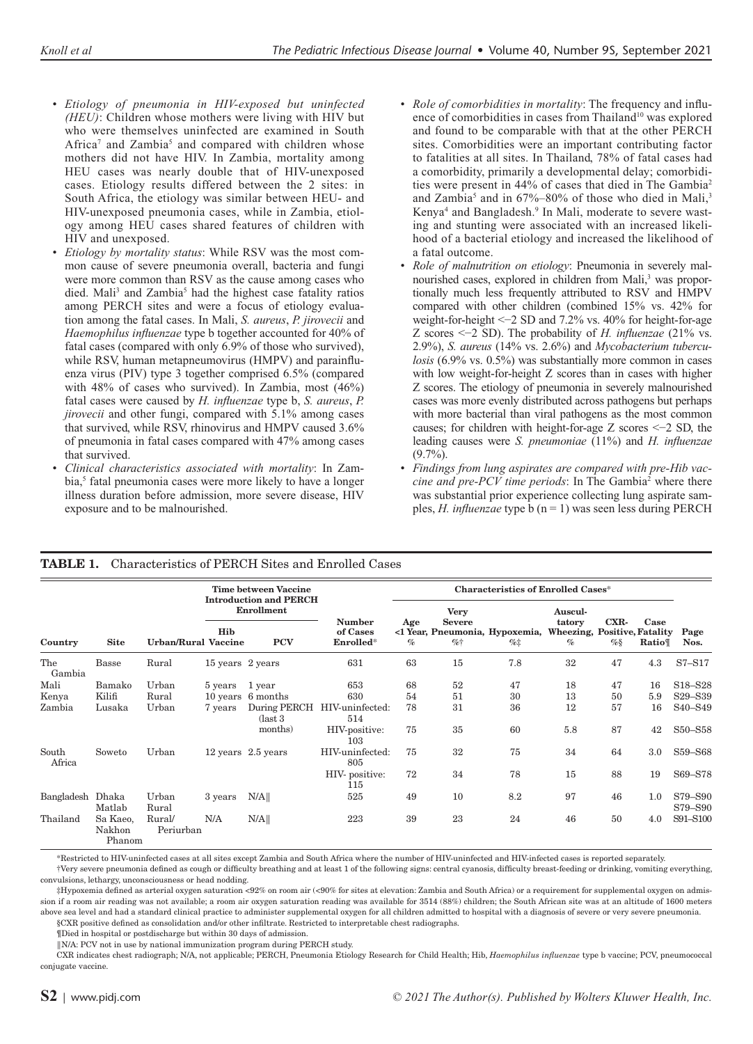- *Etiology of pneumonia in HIV-exposed but uninfected (HEU)*: Children whose mothers were living with HIV but who were themselves uninfected are examined in South Africa<sup>7</sup> and Zambia<sup>5</sup> and compared with children whose mothers did not have HIV. In Zambia, mortality among HEU cases was nearly double that of HIV-unexposed cases. Etiology results differed between the 2 sites: in South Africa, the etiology was similar between HEU- and HIV-unexposed pneumonia cases, while in Zambia, etiology among HEU cases shared features of children with HIV and unexposed.
- *Etiology by mortality status*: While RSV was the most common cause of severe pneumonia overall, bacteria and fungi were more common than RSV as the cause among cases who died. Mali<sup>3</sup> and Zambia<sup>5</sup> had the highest case fatality ratios among PERCH sites and were a focus of etiology evaluation among the fatal cases. In Mali, *S. aureus*, *P. jirovecii* and *Haemophilus influenzae* type b together accounted for 40% of fatal cases (compared with only 6.9% of those who survived), while RSV, human metapneumovirus (HMPV) and parainfluenza virus (PIV) type 3 together comprised 6.5% (compared with 48% of cases who survived). In Zambia, most (46%) fatal cases were caused by *H. influenzae* type b, *S. aureus*, *P. jirovecii* and other fungi, compared with 5.1% among cases that survived, while RSV, rhinovirus and HMPV caused 3.6% of pneumonia in fatal cases compared with 47% among cases that survived.
- *Clinical characteristics associated with mortality*: In Zambia,<sup>5</sup> fatal pneumonia cases were more likely to have a longer illness duration before admission, more severe disease, HIV exposure and to be malnourished.
- *Role of comorbidities in mortality*: The frequency and influence of comorbidities in cases from Thailand<sup>10</sup> was explored and found to be comparable with that at the other PERCH sites. Comorbidities were an important contributing factor to fatalities at all sites. In Thailand, 78% of fatal cases had a comorbidity, primarily a developmental delay; comorbidities were present in 44% of cases that died in The Gambia2 and Zambia<sup>5</sup> and in 67%–80% of those who died in Mali,<sup>3</sup> Kenya<sup>4</sup> and Bangladesh.<sup>9</sup> In Mali, moderate to severe wasting and stunting were associated with an increased likelihood of a bacterial etiology and increased the likelihood of a fatal outcome.
- *Role of malnutrition on etiology*: Pneumonia in severely malnourished cases, explored in children from Mali,<sup>3</sup> was proportionally much less frequently attributed to RSV and HMPV compared with other children (combined 15% vs. 42% for weight-for-height <−2 SD and 7.2% vs. 40% for height-for-age Z scores <−2 SD). The probability of *H. influenzae* (21% vs. 2.9%), *S. aureus* (14% vs. 2.6%) and *Mycobacterium tuberculosis* (6.9% vs. 0.5%) was substantially more common in cases with low weight-for-height Z scores than in cases with higher Z scores. The etiology of pneumonia in severely malnourished cases was more evenly distributed across pathogens but perhaps with more bacterial than viral pathogens as the most common causes; for children with height-for-age Z scores <−2 SD, the leading causes were *S. pneumoniae* (11%) and *H. influenzae*  $(9.7\%)$ .
- *Findings from lung aspirates are compared with pre-Hib vac*cine and pre-PCV time periods: In The Gambia<sup>2</sup> where there was substantial prior experience collecting lung aspirate samples, *H. influenzae* type b (n = 1) was seen less during PERCH

| Country          | <b>Site</b>                  | <b>Urban/Rural Vaccine</b> | <b>Time between Vaccine</b><br><b>Introduction and PERCH</b><br>Enrollment |                               |                        | <b>Characteristics of Enrolled Cases*</b> |                              |                                        |                                      |      |         |                                  |
|------------------|------------------------------|----------------------------|----------------------------------------------------------------------------|-------------------------------|------------------------|-------------------------------------------|------------------------------|----------------------------------------|--------------------------------------|------|---------|----------------------------------|
|                  |                              |                            |                                                                            |                               | <b>Number</b>          | Age                                       | <b>Very</b><br><b>Severe</b> |                                        | Auscul-<br>tatory                    | CXR- | Case    |                                  |
|                  |                              |                            | Hib                                                                        | <b>PCV</b>                    | of Cases<br>Enrolled*  | $\%$                                      | $\%$ †                       | <1 Year, Pneumonia, Hypoxemia,<br>$\%$ | Wheezing, Positive, Fatality<br>$\%$ | $\%$ | Ratio   | Page<br>Nos.                     |
| The<br>Gambia    | Basse                        | Rural                      | 15 years 2 years                                                           |                               | 631                    | 63                                        | 15                           | 7.8                                    | 32                                   | 47   | 4.3     | S7-S17                           |
| Mali             | Bamako                       | Urban                      | 5 years                                                                    | 1 year                        | 653                    | 68                                        | 52                           | 47                                     | 18                                   | 47   | 16      | S <sub>18</sub> -S <sub>28</sub> |
| Kenya            | Kilifi                       | Rural                      |                                                                            | 10 years 6 months             | 630                    | 54                                        | 51                           | 30                                     | 13                                   | 50   | 5.9     | S <sub>29</sub> -S <sub>39</sub> |
| Zambia           | Lusaka                       | Urban                      | 7 years                                                                    | During PERCH<br>$\frac{1}{3}$ | HIV-uninfected:<br>514 | 78                                        | 31                           | 36                                     | 12                                   | 57   | 16      | S <sub>40</sub> -S <sub>49</sub> |
|                  |                              |                            |                                                                            | months)                       | HIV-positive:<br>103   | 75                                        | 35                           | 60                                     | 5.8                                  | 87   | 42      | S50-S58                          |
| South<br>Africa  | Soweto                       | Urban                      |                                                                            | 12 years 2.5 years            | HIV-uninfected:<br>805 | 75                                        | 32                           | 75                                     | 34                                   | 64   | $3.0\,$ | S59-S68                          |
|                  |                              |                            |                                                                            |                               | HIV-positive:<br>115   | 72                                        | 34                           | 78                                     | 15                                   | 88   | 19      | S69-S78                          |
| Bangladesh Dhaka | Matlab                       | Urban<br>Rural             | 3 years                                                                    | N/A                           | 525                    | 49                                        | 10                           | 8.2                                    | 97                                   | 46   | 1.0     | S79-S90<br>S79-S90               |
| Thailand         | Sa Kaeo,<br>Nakhon<br>Phanom | Rural/<br>Periurban        | N/A                                                                        | N/A                           | 223                    | 39                                        | 23                           | 24                                     | 46                                   | 50   | 4.0     | S91-S100                         |

## **TABLE 1.** Characteristics of PERCH Sites and Enrolled Cases

\*Restricted to HIV-uninfected cases at all sites except Zambia and South Africa where the number of HIV-uninfected and HIV-infected cases is reported separately.

†Very severe pneumonia defined as cough or difficulty breathing and at least 1 of the following signs: central cyanosis, difficulty breast-feeding or drinking, vomiting everything, convulsions, lethargy, unconsciousness or head nodding.

‡Hypoxemia defined as arterial oxygen saturation <92% on room air (<90% for sites at elevation: Zambia and South Africa) or a requirement for supplemental oxygen on admission if a room air reading was not available; a room air oxygen saturation reading was available for 3514 (88%) children; the South African site was at an altitude of 1600 meters above sea level and had a standard clinical practice to administer supplemental oxygen for all children admitted to hospital with a diagnosis of severe or very severe pneumonia.

§CXR positive defined as consolidation and/or other infiltrate. Restricted to interpretable chest radiographs.

¶Died in hospital or postdischarge but within 30 days of admission.

║N/A: PCV not in use by national immunization program during PERCH study.

CXR indicates chest radiograph; N/A, not applicable; PERCH, Pneumonia Etiology Research for Child Health; Hib, *Haemophilus influenzae* type b vaccine; PCV, pneumococcal conjugate vaccine.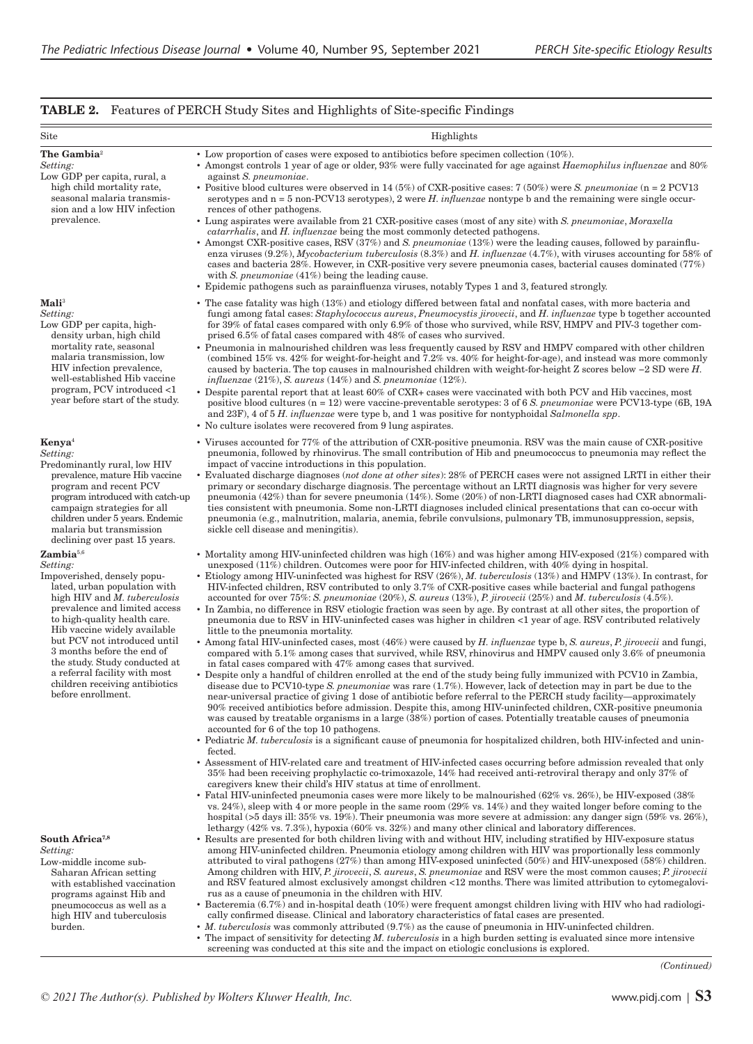## **TABLE 2.** Features of PERCH Study Sites and Highlights of Site-specific Findings

| Site                                                                                                                                                                                                                                                                                                                                                                                                                             | Highlights                                                                                                                                                                                                                                                                                                                                                                                                                                                                                                                                                                                                                                                                                                                                                                                                                                                                                                                                                                                                                                                                                                                                                                                                                                                                                                                                                                                                                                                                                                                                                                                                                                                                                                                                                                                                                                                                                                                                                                                                                                                                                                                                                                                                                                                                                                                                                                                                                                                                                                                                                                                                                                                                                                                                                                              |
|----------------------------------------------------------------------------------------------------------------------------------------------------------------------------------------------------------------------------------------------------------------------------------------------------------------------------------------------------------------------------------------------------------------------------------|-----------------------------------------------------------------------------------------------------------------------------------------------------------------------------------------------------------------------------------------------------------------------------------------------------------------------------------------------------------------------------------------------------------------------------------------------------------------------------------------------------------------------------------------------------------------------------------------------------------------------------------------------------------------------------------------------------------------------------------------------------------------------------------------------------------------------------------------------------------------------------------------------------------------------------------------------------------------------------------------------------------------------------------------------------------------------------------------------------------------------------------------------------------------------------------------------------------------------------------------------------------------------------------------------------------------------------------------------------------------------------------------------------------------------------------------------------------------------------------------------------------------------------------------------------------------------------------------------------------------------------------------------------------------------------------------------------------------------------------------------------------------------------------------------------------------------------------------------------------------------------------------------------------------------------------------------------------------------------------------------------------------------------------------------------------------------------------------------------------------------------------------------------------------------------------------------------------------------------------------------------------------------------------------------------------------------------------------------------------------------------------------------------------------------------------------------------------------------------------------------------------------------------------------------------------------------------------------------------------------------------------------------------------------------------------------------------------------------------------------------------------------------------------------|
| The Gambia <sup>2</sup><br>Setting:<br>Low GDP per capita, rural, a<br>high child mortality rate,<br>seasonal malaria transmis-<br>sion and a low HIV infection<br>prevalence.                                                                                                                                                                                                                                                   | • Low proportion of cases were exposed to antibiotics before specimen collection $(10\%)$ .<br>• Amongst controls 1 year of age or older, 93% were fully vaccinated for age against <i>Haemophilus influenzae</i> and 80%<br>against S. pneumoniae.<br>• Positive blood cultures were observed in 14 (5%) of CXR-positive cases: 7 (50%) were S. pneumoniae (n = 2 PCV13<br>serotypes and $n = 5$ non-PCV13 serotypes), 2 were H. influenzae nontype b and the remaining were single occur-<br>rences of other pathogens.<br>• Lung aspirates were available from 21 CXR-positive cases (most of any site) with S. pneumoniae, Moraxella<br><i>catarrhalis</i> , and <i>H. influenzae</i> being the most commonly detected pathogens.<br>• Amongst CXR-positive cases, RSV $(37%)$ and S. pneumoniae $(13%)$ were the leading causes, followed by parainflu-<br>enza viruses $(9.2\%)$ , <i>Mycobacterium tuberculosis</i> $(8.3\%)$ and <i>H. influenzae</i> $(4.7\%)$ , with viruses accounting for 58% of<br>cases and bacteria 28%. However, in CXR-positive very severe pneumonia cases, bacterial causes dominated (77%)<br>with S. pneumoniae $(41\%)$ being the leading cause.<br>• Epidemic pathogens such as parainfluenza viruses, notably Types 1 and 3, featured strongly.                                                                                                                                                                                                                                                                                                                                                                                                                                                                                                                                                                                                                                                                                                                                                                                                                                                                                                                                                                                                                                                                                                                                                                                                                                                                                                                                                                                                                                                                                                 |
| $\mathbf{Mali}^3$<br>Setting:<br>Low GDP per capita, high-<br>density urban, high child<br>mortality rate, seasonal<br>malaria transmission, low<br>HIV infection prevalence,<br>well-established Hib vaccine<br>program, PCV introduced <1<br>year before start of the study.                                                                                                                                                   | • The case fatality was high (13%) and etiology differed between fatal and nonfatal cases, with more bacteria and<br>fungi among fatal cases: Staphylococcus aureus, Pneumocystis jirovecii, and H. influenzae type b together accounted<br>for 39% of fatal cases compared with only 6.9% of those who survived, while RSV, HMPV and PIV-3 together com-<br>prised 6.5% of fatal cases compared with 48% of cases who survived.<br>• Pneumonia in malnourished children was less frequently caused by RSV and HMPV compared with other children<br>(combined 15% vs. $42\%$ for weight-for-height and 7.2% vs. $40\%$ for height-for-age), and instead was more commonly<br>caused by bacteria. The top causes in malnourished children with weight-for-height Z scores below $-2$ SD were H.<br>influenzae $(21\%)$ , S. aureus $(14\%)$ and S. pneumoniae $(12\%)$ .<br>• Despite parental report that at least 60% of CXR+ cases were vaccinated with both PCV and Hib vaccines, most<br>positive blood cultures $(n = 12)$ were vaccine-preventable serotypes: 3 of 6 S. pneumoniae were PCV13-type (6B, 19A<br>and 23F), 4 of 5 H. influenzae were type b, and 1 was positive for nontyphoidal Salmonella spp.<br>• No culture isolates were recovered from 9 lung aspirates.                                                                                                                                                                                                                                                                                                                                                                                                                                                                                                                                                                                                                                                                                                                                                                                                                                                                                                                                                                                                                                                                                                                                                                                                                                                                                                                                                                                                                                                                                                     |
| Kenya <sup>4</sup><br>Setting:<br>Predominantly rural, low HIV<br>prevalence, mature Hib vaccine<br>program and recent PCV<br>program introduced with catch-up<br>campaign strategies for all<br>children under 5 years. Endemic<br>malaria but transmission<br>declining over past 15 years.                                                                                                                                    | • Viruses accounted for 77% of the attribution of CXR-positive pneumonia. RSV was the main cause of CXR-positive<br>pneumonia, followed by rhinovirus. The small contribution of Hib and pneumococcus to pneumonia may reflect the<br>impact of vaccine introductions in this population.<br>• Evaluated discharge diagnoses (not done at other sites): 28% of PERCH cases were not assigned LRTI in either their<br>primary or secondary discharge diagnosis. The percentage without an LRTI diagnosis was higher for very severe<br>pneumonia (42%) than for severe pneumonia (14%). Some (20%) of non-LRTI diagnosed cases had CXR abnormali-<br>ties consistent with pneumonia. Some non-LRTI diagnoses included clinical presentations that can co-occur with<br>pneumonia (e.g., malnutrition, malaria, anemia, febrile convulsions, pulmonary TB, immunosuppression, sepsis,<br>sickle cell disease and meningitis.                                                                                                                                                                                                                                                                                                                                                                                                                                                                                                                                                                                                                                                                                                                                                                                                                                                                                                                                                                                                                                                                                                                                                                                                                                                                                                                                                                                                                                                                                                                                                                                                                                                                                                                                                                                                                                                              |
| Zambia <sup>5,6</sup><br>Setting:<br>Impoverished, densely popu-<br>lated, urban population with<br>high HIV and <i>M. tuberculosis</i><br>prevalence and limited access<br>to high-quality health care.<br>Hib vaccine widely available<br>but PCV not introduced until<br>3 months before the end of<br>the study. Study conducted at<br>a referral facility with most<br>children receiving antibiotics<br>before enrollment. | • Mortality among HIV-uninfected children was high $(16%)$ and was higher among HIV-exposed $(21%)$ compared with<br>unexposed (11%) children. Outcomes were poor for HIV-infected children, with 40% dying in hospital.<br>• Etiology among HIV-uninfected was highest for RSV (26%), M. tuberculosis (13%) and HMPV (13%). In contrast, for<br>HIV-infected children, RSV contributed to only 3.7% of CXR-positive cases while bacterial and fungal pathogens<br>accounted for over $75\%$ : S. pneumoniae $(20\%)$ , S. aureus $(13\%)$ , P. jirovecii $(25\%)$ and M. tuberculosis $(4.5\%)$ .<br>In Zambia, no difference in RSV etiologic fraction was seen by age. By contrast at all other sites, the proportion of<br>pneumonia due to RSV in HIV-uninfected cases was higher in children <1 year of age. RSV contributed relatively<br>little to the pneumonia mortality.<br>• Among fatal HIV-uninfected cases, most $(46%)$ were caused by H. influenzae type b, S. aureus, P. jirovecii and fungi,<br>compared with 5.1% among cases that survived, while RSV, rhinovirus and HMPV caused only 3.6% of pneumonia<br>in fatal cases compared with 47% among cases that survived.<br>· Despite only a handful of children enrolled at the end of the study being fully immunized with PCV10 in Zambia,<br>disease due to PCV10-type S. pneumoniae was rare (1.7%). However, lack of detection may in part be due to the<br>near-universal practice of giving 1 dose of antibiotic before referral to the PERCH study facility—approximately<br>90% received antibiotics before admission. Despite this, among HIV-uninfected children, CXR-positive pneumonia<br>was caused by treatable organisms in a large (38%) portion of cases. Potentially treatable causes of pneumonia<br>accounted for 6 of the top 10 pathogens.<br>• Pediatric <i>M. tuberculosis</i> is a significant cause of pneumonia for hospitalized children, both HIV-infected and unin-<br>fected.<br>• Assessment of HIV-related care and treatment of HIV-infected cases occurring before admission revealed that only<br>35% had been receiving prophylactic co-trimoxazole, 14% had received anti-retroviral therapy and only 37% of<br>caregivers knew their child's HIV status at time of enrollment.<br>• Fatal HIV-uninfected pneumonia cases were more likely to be malnourished (62% vs. 26%), be HIV-exposed (38%)<br>vs. 24%), sleep with 4 or more people in the same room (29% vs. 14%) and they waited longer before coming to the<br>hospital (>5 days ill: 35% vs. 19%). Their pneumonia was more severe at admission: any danger sign (59% vs. 26%),<br>lethargy $(42\% \text{ vs. } 7.3\%)$ , hypoxia $(60\% \text{ vs. } 32\%)$ and many other clinical and laboratory differences. |
| South Africa <sup>7,8</sup><br>Setting:<br>Low-middle income sub-<br>Saharan African setting<br>with established vaccination<br>programs against Hib and<br>pneumococcus as well as a<br>high HIV and tuberculosis<br>burden.                                                                                                                                                                                                    | Results are presented for both children living with and without HIV, including stratified by HIV-exposure status<br>among HIV-uninfected children. Pneumonia etiology among children with HIV was proportionally less commonly<br>attributed to viral pathogens (27%) than among HIV-exposed uninfected (50%) and HIV-unexposed (58%) children.<br>Among children with HIV, P. jirovecii, S. aureus, S. pneumoniae and RSV were the most common causes; P. jirovecii<br>and RSV featured almost exclusively amongst children <12 months. There was limited attribution to cytomegalovi-<br>rus as a cause of pneumonia in the children with HIV.<br>• Bacteremia $(6.7%)$ and in-hospital death $(10%)$ were frequent amongst children living with HIV who had radiologi-<br>cally confirmed disease. Clinical and laboratory characteristics of fatal cases are presented.<br>• <i>M. tuberculosis</i> was commonly attributed (9.7%) as the cause of pneumonia in HIV-uninfected children.<br>• The impact of sensitivity for detecting M. tuberculosis in a high burden setting is evaluated since more intensive<br>screening was conducted at this site and the impact on etiologic conclusions is explored.                                                                                                                                                                                                                                                                                                                                                                                                                                                                                                                                                                                                                                                                                                                                                                                                                                                                                                                                                                                                                                                                                                                                                                                                                                                                                                                                                                                                                                                                                                                                                                       |

*© 2021 The Author(s). Published by Wolters Kluwer Health, Inc.* www.pidj.com <sup>|</sup> **S3**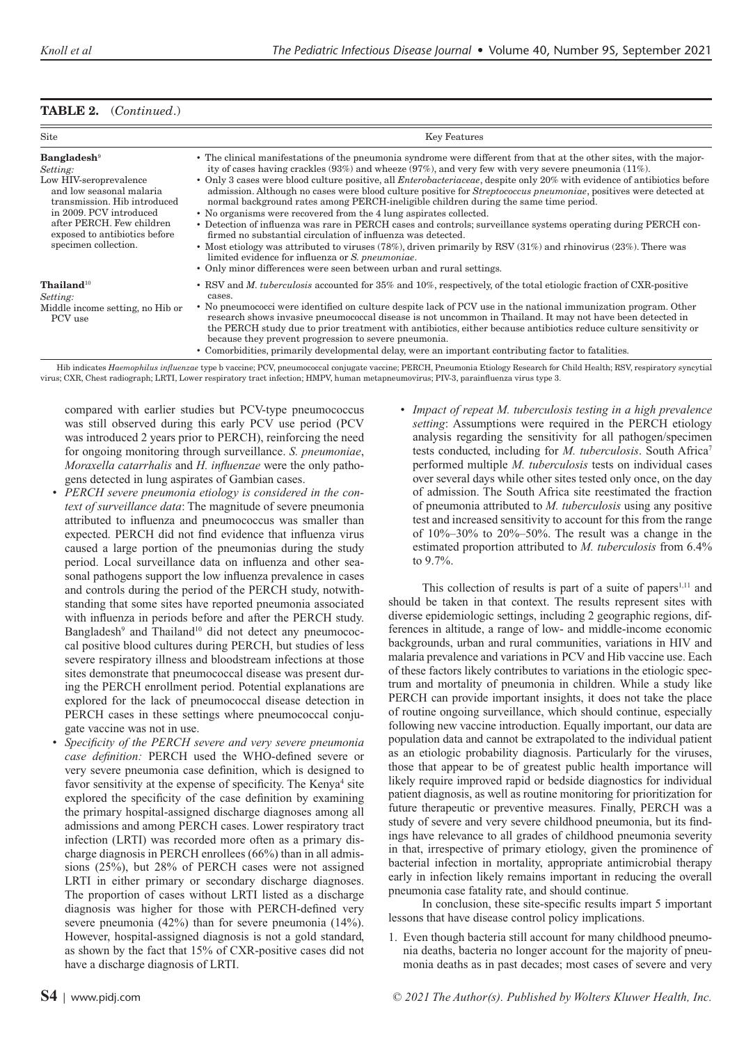## **TABLE 2.** (*Continued*.)

| Site                                                                                                                                                                                                                                              | Key Features                                                                                                                                                                                                                                                                                                                                                                                                                                                                                                                                                                                                                                                                                                                                                                                                                                                                                                                                                                                                                                                                                                |
|---------------------------------------------------------------------------------------------------------------------------------------------------------------------------------------------------------------------------------------------------|-------------------------------------------------------------------------------------------------------------------------------------------------------------------------------------------------------------------------------------------------------------------------------------------------------------------------------------------------------------------------------------------------------------------------------------------------------------------------------------------------------------------------------------------------------------------------------------------------------------------------------------------------------------------------------------------------------------------------------------------------------------------------------------------------------------------------------------------------------------------------------------------------------------------------------------------------------------------------------------------------------------------------------------------------------------------------------------------------------------|
| <b>Bangladesh</b> <sup>9</sup><br>Setting:<br>Low HIV-seroprevalence<br>and low seasonal malaria<br>transmission. Hib introduced<br>in 2009. PCV introduced<br>after PERCH. Few children<br>exposed to antibiotics before<br>specimen collection. | • The clinical manifestations of the pneumonia syndrome were different from that at the other sites, with the major-<br>ity of cases having crackles $(93\%)$ and wheeze $(97\%)$ , and very few with very severe pneumonia $(11\%)$ .<br>• Only 3 cases were blood culture positive, all <i>Enterobacteriaceae</i> , despite only 20% with evidence of antibiotics before<br>admission. Although no cases were blood culture positive for <i>Streptococcus pneumoniae</i> , positives were detected at<br>normal background rates among PERCH-ineligible children during the same time period.<br>• No organisms were recovered from the 4 lung aspirates collected.<br>• Detection of influenza was rare in PERCH cases and controls; surveillance systems operating during PERCH con-<br>firmed no substantial circulation of influenza was detected.<br>• Most etiology was attributed to viruses (78%), driven primarily by RSV $(31%)$ and rhinovirus $(23%)$ . There was<br>limited evidence for influenza or S. pneumoniae.<br>• Only minor differences were seen between urban and rural settings. |
| $\text{Thailand}^{10}$<br>Setting:<br>Middle income setting, no Hib or<br>PCV use                                                                                                                                                                 | • RSV and <i>M. tuberculosis</i> accounted for 35% and 10%, respectively, of the total etiologic fraction of CXR-positive<br>cases.<br>• No pneumococci were identified on culture despite lack of PCV use in the national immunization program. Other<br>research shows invasive pneumococcal disease is not uncommon in Thailand. It may not have been detected in<br>the PERCH study due to prior treatment with antibiotics, either because antibiotics reduce culture sensitivity or<br>because they prevent progression to severe pneumonia.<br>• Comorbidities, primarily developmental delay, were an important contributing factor to fatalities.                                                                                                                                                                                                                                                                                                                                                                                                                                                  |

Hib indicates *Haemophilus influenzae* type b vaccine; PCV, pneumococcal conjugate vaccine; PERCH, Pneumonia Etiology Research for Child Health; RSV, respiratory syncytial virus; CXR, Chest radiograph; LRTI, Lower respiratory tract infection; HMPV, human metapneumovirus; PIV-3, parainfluenza virus type 3.

compared with earlier studies but PCV-type pneumococcus was still observed during this early PCV use period (PCV was introduced 2 years prior to PERCH), reinforcing the need for ongoing monitoring through surveillance. *S. pneumoniae*, *Moraxella catarrhalis* and *H. influenzae* were the only pathogens detected in lung aspirates of Gambian cases.

- *PERCH severe pneumonia etiology is considered in the context of surveillance data*: The magnitude of severe pneumonia attributed to influenza and pneumococcus was smaller than expected. PERCH did not find evidence that influenza virus caused a large portion of the pneumonias during the study period. Local surveillance data on influenza and other seasonal pathogens support the low influenza prevalence in cases and controls during the period of the PERCH study, notwithstanding that some sites have reported pneumonia associated with influenza in periods before and after the PERCH study. Bangladesh<sup>9</sup> and Thailand<sup>10</sup> did not detect any pneumococcal positive blood cultures during PERCH, but studies of less severe respiratory illness and bloodstream infections at those sites demonstrate that pneumococcal disease was present during the PERCH enrollment period. Potential explanations are explored for the lack of pneumococcal disease detection in PERCH cases in these settings where pneumococcal conjugate vaccine was not in use.
- *Specificity of the PERCH severe and very severe pneumonia case definition:* PERCH used the WHO-defined severe or very severe pneumonia case definition, which is designed to favor sensitivity at the expense of specificity. The Kenya<sup>4</sup> site explored the specificity of the case definition by examining the primary hospital-assigned discharge diagnoses among all admissions and among PERCH cases. Lower respiratory tract infection (LRTI) was recorded more often as a primary discharge diagnosis in PERCH enrollees (66%) than in all admissions (25%), but 28% of PERCH cases were not assigned LRTI in either primary or secondary discharge diagnoses. The proportion of cases without LRTI listed as a discharge diagnosis was higher for those with PERCH-defined very severe pneumonia (42%) than for severe pneumonia (14%). However, hospital-assigned diagnosis is not a gold standard, as shown by the fact that 15% of CXR-positive cases did not have a discharge diagnosis of LRTI.

• *Impact of repeat M. tuberculosis testing in a high prevalence setting*: Assumptions were required in the PERCH etiology analysis regarding the sensitivity for all pathogen/specimen tests conducted, including for *M. tuberculosis*. South Africa7 performed multiple *M. tuberculosis* tests on individual cases over several days while other sites tested only once, on the day of admission. The South Africa site reestimated the fraction of pneumonia attributed to *M. tuberculosis* using any positive test and increased sensitivity to account for this from the range of 10%–30% to 20%–50%. The result was a change in the estimated proportion attributed to *M. tuberculosis* from 6.4% to 9.7%.

This collection of results is part of a suite of papers<sup>1,11</sup> and should be taken in that context. The results represent sites with diverse epidemiologic settings, including 2 geographic regions, differences in altitude, a range of low- and middle-income economic backgrounds, urban and rural communities, variations in HIV and malaria prevalence and variations in PCV and Hib vaccine use. Each of these factors likely contributes to variations in the etiologic spectrum and mortality of pneumonia in children. While a study like PERCH can provide important insights, it does not take the place of routine ongoing surveillance, which should continue, especially following new vaccine introduction. Equally important, our data are population data and cannot be extrapolated to the individual patient as an etiologic probability diagnosis. Particularly for the viruses, those that appear to be of greatest public health importance will likely require improved rapid or bedside diagnostics for individual patient diagnosis, as well as routine monitoring for prioritization for future therapeutic or preventive measures. Finally, PERCH was a study of severe and very severe childhood pneumonia, but its findings have relevance to all grades of childhood pneumonia severity in that, irrespective of primary etiology, given the prominence of bacterial infection in mortality, appropriate antimicrobial therapy early in infection likely remains important in reducing the overall pneumonia case fatality rate, and should continue.

In conclusion, these site-specific results impart 5 important lessons that have disease control policy implications.

1. Even though bacteria still account for many childhood pneumonia deaths, bacteria no longer account for the majority of pneumonia deaths as in past decades; most cases of severe and very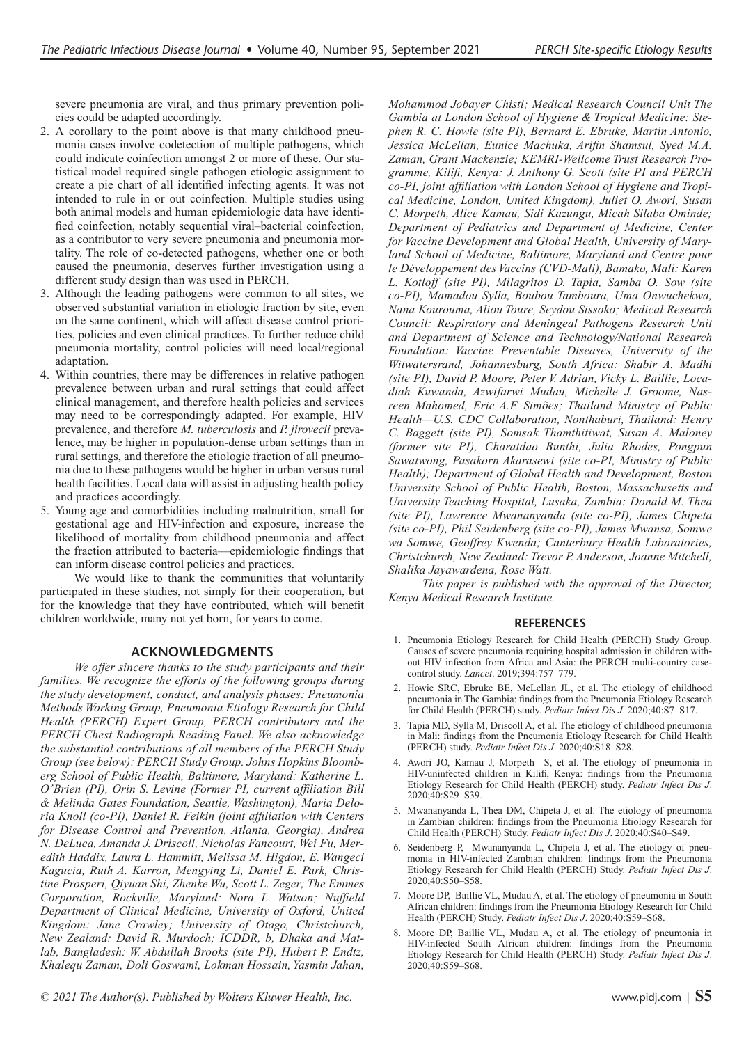severe pneumonia are viral, and thus primary prevention policies could be adapted accordingly.

- 2. A corollary to the point above is that many childhood pneumonia cases involve codetection of multiple pathogens, which could indicate coinfection amongst 2 or more of these. Our statistical model required single pathogen etiologic assignment to create a pie chart of all identified infecting agents. It was not intended to rule in or out coinfection. Multiple studies using both animal models and human epidemiologic data have identified coinfection, notably sequential viral–bacterial coinfection, as a contributor to very severe pneumonia and pneumonia mortality. The role of co-detected pathogens, whether one or both caused the pneumonia, deserves further investigation using a different study design than was used in PERCH.
- 3. Although the leading pathogens were common to all sites, we observed substantial variation in etiologic fraction by site, even on the same continent, which will affect disease control priorities, policies and even clinical practices. To further reduce child pneumonia mortality, control policies will need local/regional adaptation.
- 4. Within countries, there may be differences in relative pathogen prevalence between urban and rural settings that could affect clinical management, and therefore health policies and services may need to be correspondingly adapted. For example, HIV prevalence, and therefore *M. tuberculosis* and *P. jirovecii* prevalence, may be higher in population-dense urban settings than in rural settings, and therefore the etiologic fraction of all pneumonia due to these pathogens would be higher in urban versus rural health facilities. Local data will assist in adjusting health policy and practices accordingly.
- 5. Young age and comorbidities including malnutrition, small for gestational age and HIV-infection and exposure, increase the likelihood of mortality from childhood pneumonia and affect the fraction attributed to bacteria—epidemiologic findings that can inform disease control policies and practices.

We would like to thank the communities that voluntarily participated in these studies, not simply for their cooperation, but for the knowledge that they have contributed, which will benefit children worldwide, many not yet born, for years to come.

## **ACKNOWLEDGMENTS**

*We offer sincere thanks to the study participants and their families. We recognize the efforts of the following groups during the study development, conduct, and analysis phases: Pneumonia Methods Working Group, Pneumonia Etiology Research for Child Health (PERCH) Expert Group, PERCH contributors and the PERCH Chest Radiograph Reading Panel. We also acknowledge the substantial contributions of all members of the PERCH Study Group (see below): PERCH Study Group. Johns Hopkins Bloomberg School of Public Health, Baltimore, Maryland: Katherine L. O'Brien (PI), Orin S. Levine (Former PI, current affiliation Bill & Melinda Gates Foundation, Seattle, Washington), Maria Deloria Knoll (co-PI), Daniel R. Feikin (joint affiliation with Centers for Disease Control and Prevention, Atlanta, Georgia), Andrea N. DeLuca, Amanda J. Driscoll, Nicholas Fancourt, Wei Fu, Meredith Haddix, Laura L. Hammitt, Melissa M. Higdon, E. Wangeci Kagucia, Ruth A. Karron, Mengying Li, Daniel E. Park, Christine Prosperi, Qiyuan Shi, Zhenke Wu, Scott L. Zeger; The Emmes Corporation, Rockville, Maryland: Nora L. Watson; Nuffield Department of Clinical Medicine, University of Oxford, United Kingdom: Jane Crawley; University of Otago, Christchurch, New Zealand: David R. Murdoch; ICDDR, b, Dhaka and Matlab, Bangladesh: W. Abdullah Brooks (site PI), Hubert P. Endtz, Khalequ Zaman, Doli Goswami, Lokman Hossain, Yasmin Jahan,* 

*Gambia at London School of Hygiene & Tropical Medicine: Stephen R. C. Howie (site PI), Bernard E. Ebruke, Martin Antonio, Jessica McLellan, Eunice Machuka, Arifin Shamsul, Syed M.A. Zaman, Grant Mackenzie; KEMRI-Wellcome Trust Research Programme, Kilifi, Kenya: J. Anthony G. Scott (site PI and PERCH co-PI, joint affiliation with London School of Hygiene and Tropical Medicine, London, United Kingdom), Juliet O. Awori, Susan C. Morpeth, Alice Kamau, Sidi Kazungu, Micah Silaba Ominde; Department of Pediatrics and Department of Medicine, Center for Vaccine Development and Global Health, University of Maryland School of Medicine, Baltimore, Maryland and Centre pour le Développement des Vaccins (CVD-Mali), Bamako, Mali: Karen L. Kotloff (site PI), Milagritos D. Tapia, Samba O. Sow (site co-PI), Mamadou Sylla, Boubou Tamboura, Uma Onwuchekwa, Nana Kourouma, Aliou Toure, Seydou Sissoko; Medical Research Council: Respiratory and Meningeal Pathogens Research Unit and Department of Science and Technology/National Research Foundation: Vaccine Preventable Diseases, University of the Witwatersrand, Johannesburg, South Africa: Shabir A. Madhi (site PI), David P. Moore, Peter V. Adrian, Vicky L. Baillie, Locadiah Kuwanda, Azwifarwi Mudau, Michelle J. Groome, Nasreen Mahomed, Eric A.F. Simões; Thailand Ministry of Public Health—U.S. CDC Collaboration, Nonthaburi, Thailand: Henry C. Baggett (site PI), Somsak Thamthitiwat, Susan A. Maloney (former site PI), Charatdao Bunthi, Julia Rhodes, Pongpun Sawatwong, Pasakorn Akarasewi (site co-PI, Ministry of Public Health); Department of Global Health and Development, Boston University School of Public Health, Boston, Massachusetts and University Teaching Hospital, Lusaka, Zambia: Donald M. Thea (site PI), Lawrence Mwananyanda (site co-PI), James Chipeta (site co-PI), Phil Seidenberg (site co-PI), James Mwansa, Somwe wa Somwe, Geoffrey Kwenda; Canterbury Health Laboratories, Christchurch, New Zealand: Trevor P. Anderson, Joanne Mitchell,* 

*Mohammod Jobayer Chisti; Medical Research Council Unit The* 

*Shalika Jayawardena, Rose Watt. This paper is published with the approval of the Director, Kenya Medical Research Institute.*

#### **REFERENCES**

- 1. Pneumonia Etiology Research for Child Health (PERCH) Study Group. Causes of severe pneumonia requiring hospital admission in children without HIV infection from Africa and Asia: the PERCH multi-country casecontrol study. *Lancet*. 2019;394:757–779.
- 2. Howie SRC, Ebruke BE, McLellan JL, et al. The etiology of childhood pneumonia in The Gambia: findings from the Pneumonia Etiology Research for Child Health (PERCH) study. *Pediatr Infect Dis J*. 2020;40:S7–S17.
- 3. Tapia MD, Sylla M, Driscoll A, et al. The etiology of childhood pneumonia in Mali: findings from the Pneumonia Etiology Research for Child Health (PERCH) study. *Pediatr Infect Dis J*. 2020;40:S18–S28.
- 4. Awori JO, Kamau J, Morpeth S, et al. The etiology of pneumonia in HIV-uninfected children in Kilifi, Kenya: findings from the Pneumonia Etiology Research for Child Health (PERCH) study. *Pediatr Infect Dis J*. 2020;40:S29–S39.
- 5. Mwananyanda L, Thea DM, Chipeta J, et al. The etiology of pneumonia in Zambian children: findings from the Pneumonia Etiology Research for Child Health (PERCH) Study. *Pediatr Infect Dis J*. 2020;40:S40–S49.
- 6. Seidenberg P, Mwananyanda L, Chipeta J, et al. The etiology of pneumonia in HIV-infected Zambian children: findings from the Pneumonia Etiology Research for Child Health (PERCH) Study. *Pediatr Infect Dis J*. 2020;40:S50–S58.
- 7. Moore DP, Baillie VL, Mudau A, et al. The etiology of pneumonia in South African children: findings from the Pneumonia Etiology Research for Child Health (PERCH) Study. *Pediatr Infect Dis J*. 2020;40:S59–S68.
- 8. Moore DP, Baillie VL, Mudau A, et al. The etiology of pneumonia in HIV-infected South African children: findings from the Pneumonia Etiology Research for Child Health (PERCH) Study. *Pediatr Infect Dis J*. 2020;40:S59–S68.